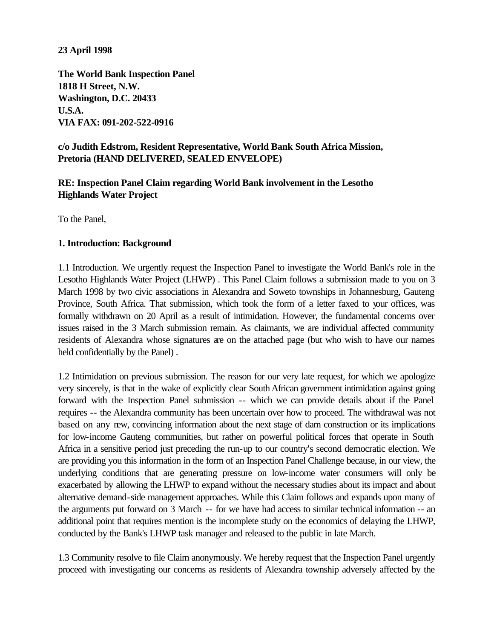## **23 April 1998**

**The World Bank Inspection Panel 1818 H Street, N.W. Washington, D.C. 20433 U.S.A. VIA FAX: 091-202-522-0916**

## **c/o Judith Edstrom, Resident Representative, World Bank South Africa Mission, Pretoria (HAND DELIVERED, SEALED ENVELOPE)**

# **RE: Inspection Panel Claim regarding World Bank involvement in the Lesotho Highlands Water Project**

To the Panel,

## **1. Introduction: Background**

1.1 Introduction. We urgently request the Inspection Panel to investigate the World Bank's role in the Lesotho Highlands Water Project (LHWP) . This Panel Claim follows a submission made to you on 3 March 1998 by two civic associations in Alexandra and Soweto townships in Johannesburg, Gauteng Province, South Africa. That submission, which took the form of a letter faxed to your offices, was formally withdrawn on 20 April as a result of intimidation. However, the fundamental concerns over issues raised in the 3 March submission remain. As claimants, we are individual affected community residents of Alexandra whose signatures are on the attached page (but who wish to have our names held confidentially by the Panel) .

1.2 Intimidation on previous submission. The reason for our very late request, for which we apologize very sincerely, is that in the wake of explicitly clear South African government intimidation against going forward with the Inspection Panel submission -- which we can provide details about if the Panel requires -- the Alexandra community has been uncertain over how to proceed. The withdrawal was not based on any new, convincing information about the next stage of dam construction or its implications for low-income Gauteng communities, but rather on powerful political forces that operate in South Africa in a sensitive period just preceding the run-up to our country's second democratic election. We are providing you this information in the form of an Inspection Panel Challenge because, in our view, the underlying conditions that are generating pressure on low-income water consumers will only be exacerbated by allowing the LHWP to expand without the necessary studies about its impact and about alternative demand-side management approaches. While this Claim follows and expands upon many of the arguments put forward on 3 March -- for we have had access to similar technical information -- an additional point that requires mention is the incomplete study on the economics of delaying the LHWP, conducted by the Bank's LHWP task manager and released to the public in late March.

1.3 Community resolve to file Claim anonymously. We hereby request that the Inspection Panel urgently proceed with investigating our concerns as residents of Alexandra township adversely affected by the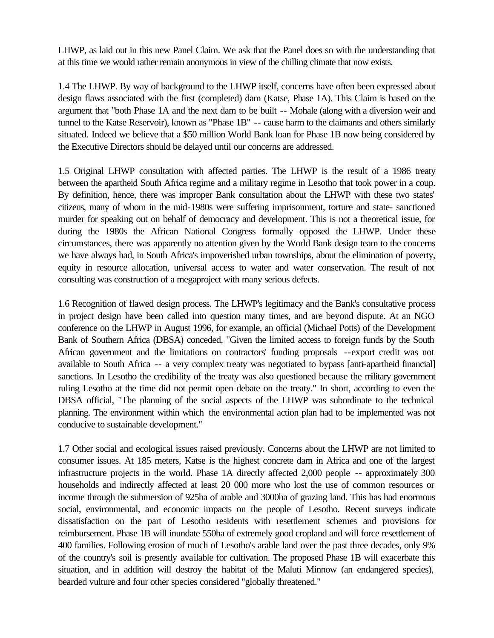LHWP, as laid out in this new Panel Claim. We ask that the Panel does so with the understanding that at this time we would rather remain anonymous in view of the chilling climate that now exists.

1.4 The LHWP. By way of background to the LHWP itself, concerns have often been expressed about design flaws associated with the first (completed) dam (Katse, Phase 1A). This Claim is based on the argument that "both Phase 1A and the next dam to be built -- Mohale (along with a diversion weir and tunnel to the Katse Reservoir), known as "Phase 1B" -- cause harm to the claimants and others similarly situated. Indeed we believe that a \$50 million World Bank loan for Phase 1B now being considered by the Executive Directors should be delayed until our concerns are addressed.

1.5 Original LHWP consultation with affected parties. The LHWP is the result of a 1986 treaty between the apartheid South Africa regime and a military regime in Lesotho that took power in a coup. By definition, hence, there was improper Bank consultation about the LHWP with these two states' citizens, many of whom in the mid-1980s were suffering imprisonment, torture and state- sanctioned murder for speaking out on behalf of democracy and development. This is not a theoretical issue, for during the 1980s the African National Congress formally opposed the LHWP. Under these circumstances, there was apparently no attention given by the World Bank design team to the concerns we have always had, in South Africa's impoverished urban townships, about the elimination of poverty, equity in resource allocation, universal access to water and water conservation. The result of not consulting was construction of a megaproject with many serious defects.

1.6 Recognition of flawed design process. The LHWP's legitimacy and the Bank's consultative process in project design have been called into question many times, and are beyond dispute. At an NGO conference on the LHWP in August 1996, for example, an official (Michael Potts) of the Development Bank of Southern Africa (DBSA) conceded, "Given the limited access to foreign funds by the South African government and the limitations on contractors' funding proposals --export credit was not available to South Africa -- a very complex treaty was negotiated to bypass [anti-apartheid financial] sanctions. In Lesotho the credibility of the treaty was also questioned because the military government ruling Lesotho at the time did not permit open debate on the treaty." In short, according to even the DBSA official, "The planning of the social aspects of the LHWP was subordinate to the technical planning. The environment within which the environmental action plan had to be implemented was not conducive to sustainable development."

1.7 Other social and ecological issues raised previously. Concerns about the LHWP are not limited to consumer issues. At 185 meters, Katse is the highest concrete dam in Africa and one of the largest infrastructure projects in the world. Phase 1A directly affected 2,000 people -- approximately 300 households and indirectly affected at least 20 000 more who lost the use of common resources or income through the submersion of 925ha of arable and 3000ha of grazing land. This has had enormous social, environmental, and economic impacts on the people of Lesotho. Recent surveys indicate dissatisfaction on the part of Lesotho residents with resettlement schemes and provisions for reimbursement. Phase 1B will inundate 550ha of extremely good cropland and will force resettlement of 400 families. Following erosion of much of Lesotho's arable land over the past three decades, only 9% of the country's soil is presently available for cultivation. The proposed Phase 1B will exacerbate this situation, and in addition will destroy the habitat of the Maluti Minnow (an endangered species), bearded vulture and four other species considered "globally threatened."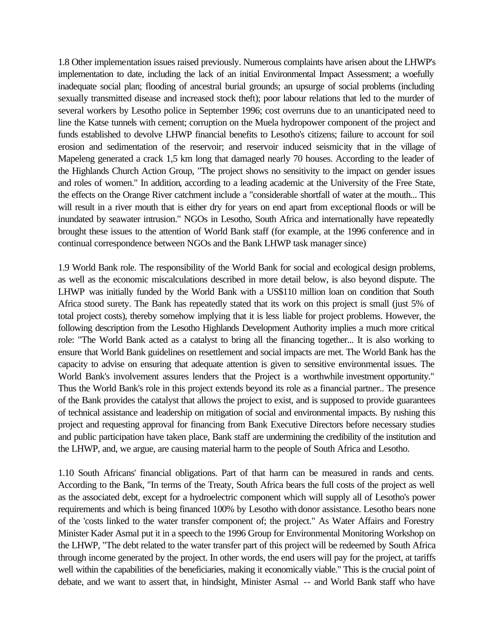1.8 Other implementation issues raised previously. Numerous complaints have arisen about the LHWP's implementation to date, including the lack of an initial Environmental Impact Assessment; a woefully inadequate social plan; flooding of ancestral burial grounds; an upsurge of social problems (including sexually transmitted disease and increased stock theft); poor labour relations that led to the murder of several workers by Lesotho police in September 1996; cost overruns due to an unanticipated need to line the Katse tunnels with cement; corruption on the Muela hydropower component of the project and funds established to devolve LHWP financial benefits to Lesotho's citizens; failure to account for soil erosion and sedimentation of the reservoir; and reservoir induced seismicity that in the village of Mapeleng generated a crack 1,5 km long that damaged nearly 70 houses. According to the leader of the Highlands Church Action Group, "The project shows no sensitivity to the impact on gender issues and roles of women." In addition, according to a leading academic at the University of the Free State, the effects on the Orange River catchment include a "considerable shortfall of water at the mouth... This will result in a river mouth that is either dry for years on end apart from exceptional floods or will be inundated by seawater intrusion." NGOs in Lesotho, South Africa and internationally have repeatedly brought these issues to the attention of World Bank staff (for example, at the 1996 conference and in continual correspondence between NGOs and the Bank LHWP task manager since)

1.9 World Bank role. The responsibility of the World Bank for social and ecological design problems, as well as the economic miscalculations described in more detail below, is also beyond dispute. The LHWP was initially funded by the World Bank with a US\$110 million loan on condition that South Africa stood surety. The Bank has repeatedly stated that its work on this project is small (just 5% of total project costs), thereby somehow implying that it is less liable for project problems. However, the following description from the Lesotho Highlands Development Authority implies a much more critical role: "The World Bank acted as a catalyst to bring all the financing together... It is also working to ensure that World Bank guidelines on resettlement and social impacts are met. The World Bank has the capacity to advise on ensuring that adequate attention is given to sensitive environmental issues. The World Bank's involvement assures lenders that the Project is a worthwhile investment opportunity." Thus the World Bank's role in this project extends beyond its role as a financial partner.. The presence of the Bank provides the catalyst that allows the project to exist, and is supposed to provide guarantees of technical assistance and leadership on mitigation of social and environmental impacts. By rushing this project and requesting approval for financing from Bank Executive Directors before necessary studies and public participation have taken place, Bank staff are undermining the credibility of the institution and the LHWP, and, we argue, are causing material harm to the people of South Africa and Lesotho.

1.10 South Africans' financial obligations. Part of that harm can be measured in rands and cents. According to the Bank, "In terms of the Treaty, South Africa bears the full costs of the project as well as the associated debt, except for a hydroelectric component which will supply all of Lesotho's power requirements and which is being financed 100% by Lesotho with donor assistance. Lesotho bears none of the 'costs linked to the water transfer component of; the project." As Water Affairs and Forestry Minister Kader Asmal put it in a speech to the 1996 Group for Environmental Monitoring Workshop on the LHWP, "The debt related to the water transfer part of this project will be redeemed by South Africa through income generated by the project. In other words, the end users will pay for the project, at tariffs well within the capabilities of the beneficiaries, making it economically viable." This is the crucial point of debate, and we want to assert that, in hindsight, Minister Asmal -- and World Bank staff who have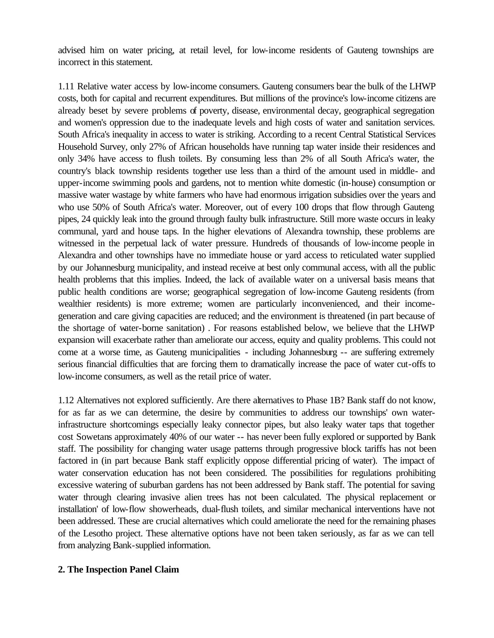advised him on water pricing, at retail level, for low-income residents of Gauteng townships are incorrect in this statement.

1.11 Relative water access by low-income consumers. Gauteng consumers bear the bulk of the LHWP costs, both for capital and recurrent expenditures. But millions of the province's low-income citizens are already beset by severe problems of poverty, disease, environmental decay, geographical segregation and women's oppression due to the inadequate levels and high costs of water and sanitation services. South Africa's inequality in access to water is striking. According to a recent Central Statistical Services Household Survey, only 27% of African households have running tap water inside their residences and only 34% have access to flush toilets. By consuming less than 2% of all South Africa's water, the country's black township residents together use less than a third of the amount used in middle- and upper-income swimming pools and gardens, not to mention white domestic (in-house) consumption or massive water wastage by white farmers who have had enormous irrigation subsidies over the years and who use 50% of South Africa's water. Moreover, out of every 100 drops that flow through Gauteng pipes, 24 quickly leak into the ground through faulty bulk infrastructure. Still more waste occurs in leaky communal, yard and house taps. In the higher elevations of Alexandra township, these problems are witnessed in the perpetual lack of water pressure. Hundreds of thousands of low-income people in Alexandra and other townships have no immediate house or yard access to reticulated water supplied by our Johannesburg municipality, and instead receive at best only communal access, with all the public health problems that this implies. Indeed, the lack of available water on a universal basis means that public health conditions are worse; geographical segregation of low-income Gauteng residents (from wealthier residents) is more extreme; women are particularly inconvenienced, and their incomegeneration and care giving capacities are reduced; and the environment is threatened (in part because of the shortage of water-borne sanitation) . For reasons established below, we believe that the LHWP expansion will exacerbate rather than ameliorate our access, equity and quality problems. This could not come at a worse time, as Gauteng municipalities - including Johannesburg -- are suffering extremely serious financial difficulties that are forcing them to dramatically increase the pace of water cut-offs to low-income consumers, as well as the retail price of water.

1.12 Alternatives not explored sufficiently. Are there alternatives to Phase 1B? Bank staff do not know, for as far as we can determine, the desire by communities to address our townships' own waterinfrastructure shortcomings especially leaky connector pipes, but also leaky water taps that together cost Sowetans approximately 40% of our water -- has never been fully explored or supported by Bank staff. The possibility for changing water usage patterns through progressive block tariffs has not been factored in (in part because Bank staff explicitly oppose differential pricing of water). The impact of water conservation education has not been considered. The possibilities for regulations prohibiting excessive watering of suburban gardens has not been addressed by Bank staff. The potential for saving water through clearing invasive alien trees has not been calculated. The physical replacement or installation' of low-flow showerheads, dual-flush toilets, and similar mechanical interventions have not been addressed. These are crucial alternatives which could ameliorate the need for the remaining phases of the Lesotho project. These alternative options have not been taken seriously, as far as we can tell from analyzing Bank-supplied information.

#### **2. The Inspection Panel Claim**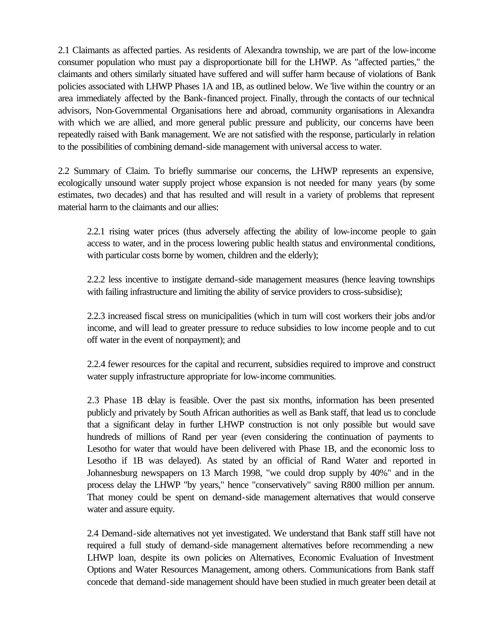2.1 Claimants as affected parties. As residents of Alexandra township, we are part of the low-income consumer population who must pay a disproportionate bill for the LHWP. As "affected parties," the claimants and others similarly situated have suffered and will suffer harm because of violations of Bank policies associated with LHWP Phases 1A and 1B, as outlined below. We 'live within the country or an area immediately affected by the Bank-financed project. Finally, through the contacts of our technical advisors, Non-Governmental Organisations here and abroad, community organisations in Alexandra with which we are allied, and more general public pressure and publicity, our concerns have been repeatedly raised with Bank management. We are not satisfied with the response, particularly in relation to the possibilities of combining demand-side management with universal access to water.

2.2 Summary of Claim. To briefly summarise our concerns, the LHWP represents an expensive, ecologically unsound water supply project whose expansion is not needed for many years (by some estimates, two decades) and that has resulted and will result in a variety of problems that represent material harm to the claimants and our allies:

2.2.1 rising water prices (thus adversely affecting the ability of low-income people to gain access to water, and in the process lowering public health status and environmental conditions, with particular costs borne by women, children and the elderly);

2.2.2 less incentive to instigate demand-side management measures (hence leaving townships with failing infrastructure and limiting the ability of service providers to cross-subsidise);

2.2.3 increased fiscal stress on municipalities (which in turn will cost workers their jobs and/or income, and will lead to greater pressure to reduce subsidies to low income people and to cut off water in the event of nonpayment); and

2.2.4 fewer resources for the capital and recurrent, subsidies required to improve and construct water supply infrastructure appropriate for low-income communities.

2.3 Phase 1B delay is feasible. Over the past six months, information has been presented publicly and privately by South African authorities as well as Bank staff, that lead us to conclude that a significant delay in further LHWP construction is not only possible but would save hundreds of millions of Rand per year (even considering the continuation of payments to Lesotho for water that would have been delivered with Phase 1B, and the economic loss to Lesotho if 1B was delayed). As stated by an official of Rand Water and reported in Johannesburg newspapers on 13 March 1998, "we could drop supply by 40%" and in the process delay the LHWP "by years," hence "conservatively" saving R800 million per annum. That money could be spent on demand-side management alternatives that would conserve water and assure equity.

2.4 Demand-side alternatives not yet investigated. We understand that Bank staff still have not required a full study of demand-side management alternatives before recommending a new LHWP loan, despite its own policies on Alternatives, Economic Evaluation of Investment Options and Water Resources Management, among others. Communications from Bank staff concede that demand-side management should have been studied in much greater been detail at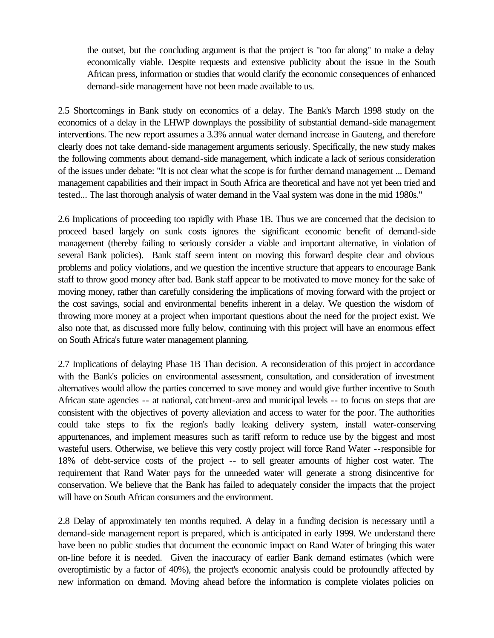the outset, but the concluding argument is that the project is "too far along" to make a delay economically viable. Despite requests and extensive publicity about the issue in the South African press, information or studies that would clarify the economic consequences of enhanced demand-side management have not been made available to us.

2.5 Shortcomings in Bank study on economics of a delay. The Bank's March 1998 study on the economics of a delay in the LHWP downplays the possibility of substantial demand-side management interventions. The new report assumes a 3.3% annual water demand increase in Gauteng, and therefore clearly does not take demand-side management arguments seriously. Specifically, the new study makes the following comments about demand-side management, which indicate a lack of serious consideration of the issues under debate: "It is not clear what the scope is for further demand management ... Demand management capabilities and their impact in South Africa are theoretical and have not yet been tried and tested... The last thorough analysis of water demand in the Vaal system was done in the mid 1980s."

2.6 Implications of proceeding too rapidly with Phase 1B. Thus we are concerned that the decision to proceed based largely on sunk costs ignores the significant economic benefit of demand-side management (thereby failing to seriously consider a viable and important alternative, in violation of several Bank policies). Bank staff seem intent on moving this forward despite clear and obvious problems and policy violations, and we question the incentive structure that appears to encourage Bank staff to throw good money after bad. Bank staff appear to be motivated to move money for the sake of moving money, rather than carefully considering the implications of moving forward with the project or the cost savings, social and environmental benefits inherent in a delay. We question the wisdom of throwing more money at a project when important questions about the need for the project exist. We also note that, as discussed more fully below, continuing with this project will have an enormous effect on South Africa's future water management planning.

2.7 Implications of delaying Phase 1B Than decision. A reconsideration of this project in accordance with the Bank's policies on environmental assessment, consultation, and consideration of investment alternatives would allow the parties concerned to save money and would give further incentive to South African state agencies -- at national, catchment-area and municipal levels -- to focus on steps that are consistent with the objectives of poverty alleviation and access to water for the poor. The authorities could take steps to fix the region's badly leaking delivery system, install water-conserving appurtenances, and implement measures such as tariff reform to reduce use by the biggest and most wasteful users. Otherwise, we believe this very costly project will force Rand Water --responsible for 18% of debt-service costs of the project -- to sell greater amounts of higher cost water. The requirement that Rand Water pays for the unneeded water will generate a strong disincentive for conservation. We believe that the Bank has failed to adequately consider the impacts that the project will have on South African consumers and the environment.

2.8 Delay of approximately ten months required. A delay in a funding decision is necessary until a demand-side management report is prepared, which is anticipated in early 1999. We understand there have been no public studies that document the economic impact on Rand Water of bringing this water on-line before it is needed. Given the inaccuracy of earlier Bank demand estimates (which were overoptimistic by a factor of 40%), the project's economic analysis could be profoundly affected by new information on demand. Moving ahead before the information is complete violates policies on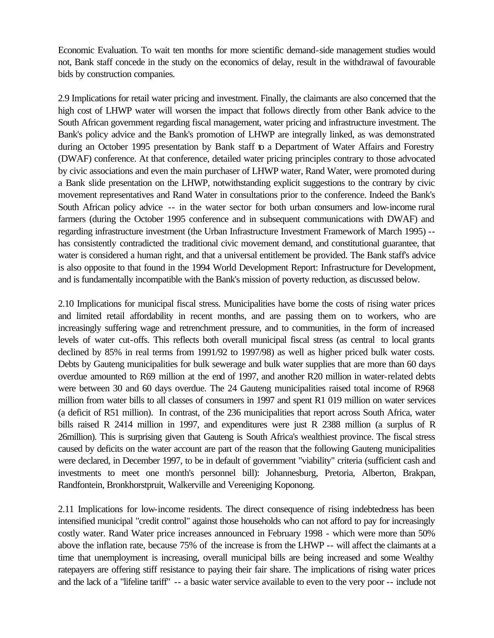Economic Evaluation. To wait ten months for more scientific demand-side management studies would not, Bank staff concede in the study on the economics of delay, result in the withdrawal of favourable bids by construction companies.

2.9 Implications for retail water pricing and investment. Finally, the claimants are also concerned that the high cost of LHWP water will worsen the impact that follows directly from other Bank advice to the South African government regarding fiscal management, water pricing and infrastructure investment. The Bank's policy advice and the Bank's promotion of LHWP are integrally linked, as was demonstrated during an October 1995 presentation by Bank staff to a Department of Water Affairs and Forestry (DWAF) conference. At that conference, detailed water pricing principles contrary to those advocated by civic associations and even the main purchaser of LHWP water, Rand Water, were promoted during a Bank slide presentation on the LHWP, notwithstanding explicit suggestions to the contrary by civic movement representatives and Rand Water in consultations prior to the conference. Indeed the Bank's South African policy advice -- in the water sector for both urban consumers and low-income rural farmers (during the October 1995 conference and in subsequent communications with DWAF) and regarding infrastructure investment (the Urban Infrastructure Investment Framework of March 1995) - has consistently contradicted the traditional civic movement demand, and constitutional guarantee, that water is considered a human right, and that a universal entitlement be provided. The Bank staff's advice is also opposite to that found in the 1994 World Development Report: Infrastructure for Development, and is fundamentally incompatible with the Bank's mission of poverty reduction, as discussed below.

2.10 Implications for municipal fiscal stress. Municipalities have borne the costs of rising water prices and limited retail affordability in recent months, and are passing them on to workers, who are increasingly suffering wage and retrenchment pressure, and to communities, in the form of increased levels of water cut-offs. This reflects both overall municipal fiscal stress (as central to local grants declined by 85% in real terms from 1991/92 to 1997/98) as well as higher priced bulk water costs. Debts by Gauteng municipalities for bulk sewerage and bulk water supplies that are more than 60 days overdue amounted to R69 million at the end of 1997, and another R20 million in water-related debts were between 30 and 60 days overdue. The 24 Gauteng municipalities raised total income of R968 million from water bills to all classes of consumers in 1997 and spent R1 019 million on water services (a deficit of R51 million). In contrast, of the 236 municipalities that report across South Africa, water bills raised R 2414 million in 1997, and expenditures were just R 2388 million (a surplus of R 26million). This is surprising given that Gauteng is South Africa's wealthiest province. The fiscal stress caused by deficits on the water account are part of the reason that the following Gauteng municipalities were declared, in December 1997, to be in default of government "viability" criteria (sufficient cash and investments to meet one month's personnel bill): Johannesburg, Pretoria, Alberton, Brakpan, Randfontein, Bronkhorstpruit, Walkerville and Vereeniging Koponong.

2.11 Implications for low-income residents. The direct consequence of rising indebtedness has been intensified municipal "credit control" against those households who can not afford to pay for increasingly costly water. Rand Water price increases announced in February 1998 - which were more than 50% above the inflation rate, because 75% of the increase is from the LHWP -- will affect the claimants at a time that unemployment is increasing, overall municipal bills are being increased and some Wealthy ratepayers are offering stiff resistance to paying their fair share. The implications of rising water prices and the lack of a "lifeline tariff" -- a basic water service available to even to the very poor -- include not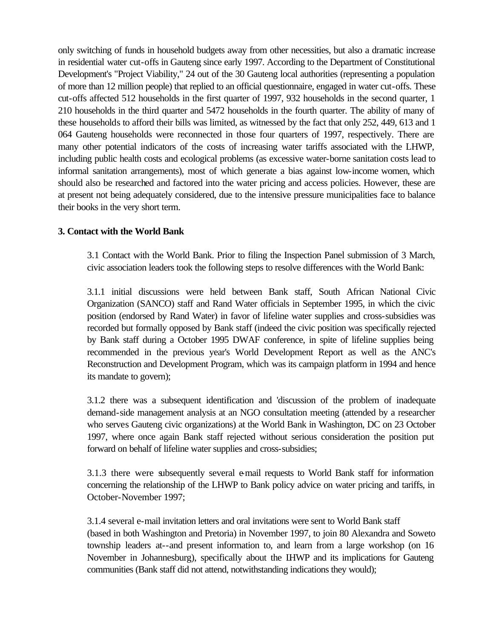only switching of funds in household budgets away from other necessities, but also a dramatic increase in residential water cut-offs in Gauteng since early 1997. According to the Department of Constitutional Development's "Project Viability," 24 out of the 30 Gauteng local authorities (representing a population of more than 12 million people) that replied to an official questionnaire, engaged in water cut-offs. These cut-offs affected 512 households in the first quarter of 1997, 932 households in the second quarter, 1 210 households in the third quarter and 5472 households in the fourth quarter. The ability of many of these households to afford their bills was limited, as witnessed by the fact that only 252, 449, 613 and 1 064 Gauteng households were reconnected in those four quarters of 1997, respectively. There are many other potential indicators of the costs of increasing water tariffs associated with the LHWP, including public health costs and ecological problems (as excessive water-borne sanitation costs lead to informal sanitation arrangements), most of which generate a bias against low-income women, which should also be researched and factored into the water pricing and access policies. However, these are at present not being adequately considered, due to the intensive pressure municipalities face to balance their books in the very short term.

## **3. Contact with the World Bank**

3.1 Contact with the World Bank. Prior to filing the Inspection Panel submission of 3 March, civic association leaders took the following steps to resolve differences with the World Bank:

3.1.1 initial discussions were held between Bank staff, South African National Civic Organization (SANCO) staff and Rand Water officials in September 1995, in which the civic position (endorsed by Rand Water) in favor of lifeline water supplies and cross-subsidies was recorded but formally opposed by Bank staff (indeed the civic position was specifically rejected by Bank staff during a October 1995 DWAF conference, in spite of lifeline supplies being recommended in the previous year's World Development Report as well as the ANC's Reconstruction and Development Program, which was its campaign platform in 1994 and hence its mandate to govern);

3.1.2 there was a subsequent identification and 'discussion of the problem of inadequate demand-side management analysis at an NGO consultation meeting (attended by a researcher who serves Gauteng civic organizations) at the World Bank in Washington, DC on 23 October 1997, where once again Bank staff rejected without serious consideration the position put forward on behalf of lifeline water supplies and cross-subsidies;

3.1.3 there were subsequently several e-mail requests to World Bank staff for information concerning the relationship of the LHWP to Bank policy advice on water pricing and tariffs, in October-November 1997;

3.1.4 several e-mail invitation letters and oral invitations were sent to World Bank staff (based in both Washington and Pretoria) in November 1997, to join 80 Alexandra and Soweto township leaders at--and present information to, and learn from a large workshop (on 16 November in Johannesburg), specifically about the LHWP and its implications for Gauteng communities (Bank staff did not attend, notwithstanding indications they would);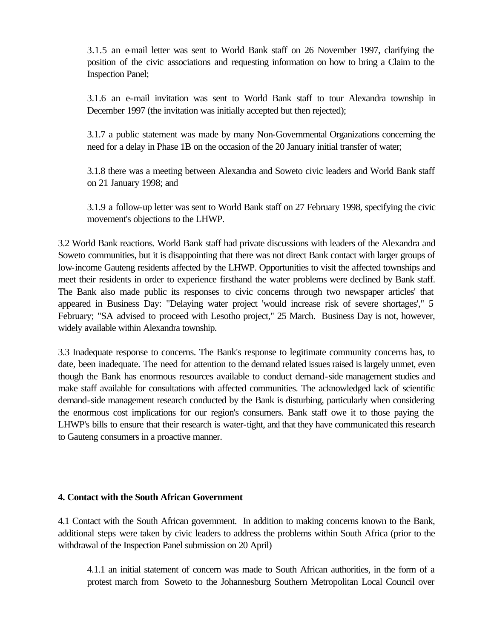3.1.5 an e-mail letter was sent to World Bank staff on 26 November 1997, clarifying the position of the civic associations and requesting information on how to bring a Claim to the Inspection Panel;

3.1.6 an e-mail invitation was sent to World Bank staff to tour Alexandra township in December 1997 (the invitation was initially accepted but then rejected);

3.1.7 a public statement was made by many Non-Governmental Organizations concerning the need for a delay in Phase 1B on the occasion of the 20 January initial transfer of water;

3.1.8 there was a meeting between Alexandra and Soweto civic leaders and World Bank staff on 21 January 1998; and

3.1.9 a follow-up letter was sent to World Bank staff on 27 February 1998, specifying the civic movement's objections to the LHWP.

3.2 World Bank reactions. World Bank staff had private discussions with leaders of the Alexandra and Soweto communities, but it is disappointing that there was not direct Bank contact with larger groups of low-income Gauteng residents affected by the LHWP. Opportunities to visit the affected townships and meet their residents in order to experience firsthand the water problems were declined by Bank staff. The Bank also made public its responses to civic concerns through two newspaper articles' that appeared in Business Day: "Delaying water project 'would increase risk of severe shortages'," 5 February; "SA advised to proceed with Lesotho project," 25 March. Business Day is not, however, widely available within Alexandra township.

3.3 Inadequate response to concerns. The Bank's response to legitimate community concerns has, to date, been inadequate. The need for attention to the demand related issues raised is largely unmet, even though the Bank has enormous resources available to conduct demand-side management studies and make staff available for consultations with affected communities. The acknowledged lack of scientific demand-side management research conducted by the Bank is disturbing, particularly when considering the enormous cost implications for our region's consumers. Bank staff owe it to those paying the LHWP's bills to ensure that their research is water-tight, and that they have communicated this research to Gauteng consumers in a proactive manner.

#### **4. Contact with the South African Government**

4.1 Contact with the South African government. In addition to making concerns known to the Bank, additional steps were taken by civic leaders to address the problems within South Africa (prior to the withdrawal of the Inspection Panel submission on 20 April)

4.1.1 an initial statement of concern was made to South African authorities, in the form of a protest march from Soweto to the Johannesburg Southern Metropolitan Local Council over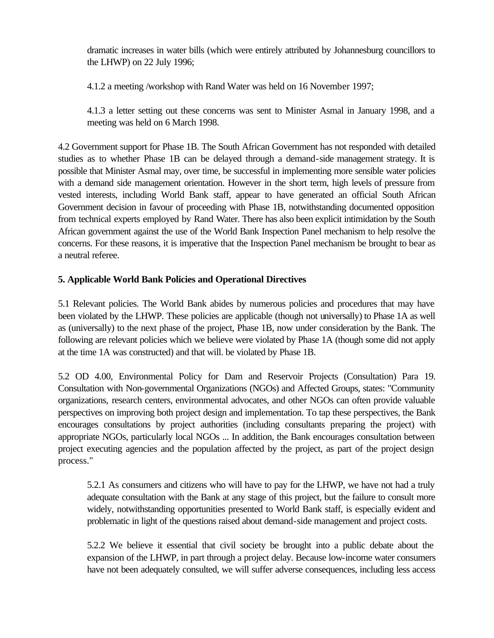dramatic increases in water bills (which were entirely attributed by Johannesburg councillors to the LHWP) on 22 July 1996;

4.1.2 a meeting /workshop with Rand Water was held on 16 November 1997;

4.1.3 a letter setting out these concerns was sent to Minister Asmal in January 1998, and a meeting was held on 6 March 1998.

4.2 Government support for Phase 1B. The South African Government has not responded with detailed studies as to whether Phase 1B can be delayed through a demand-side management strategy. It is possible that Minister Asmal may, over time, be successful in implementing more sensible water policies with a demand side management orientation. However in the short term, high levels of pressure from vested interests, including World Bank staff, appear to have generated an official South African Government decision in favour of proceeding with Phase 1B, notwithstanding documented opposition from technical experts employed by Rand Water. There has also been explicit intimidation by the South African government against the use of the World Bank Inspection Panel mechanism to help resolve the concerns. For these reasons, it is imperative that the Inspection Panel mechanism be brought to bear as a neutral referee.

# **5. Applicable World Bank Policies and Operational Directives**

5.1 Relevant policies. The World Bank abides by numerous policies and procedures that may have been violated by the LHWP. These policies are applicable (though not universally) to Phase 1A as well as (universally) to the next phase of the project, Phase 1B, now under consideration by the Bank. The following are relevant policies which we believe were violated by Phase 1A (though some did not apply at the time 1A was constructed) and that will. be violated by Phase 1B.

5.2 OD 4.00, Environmental Policy for Dam and Reservoir Projects (Consultation) Para 19. Consultation with Non-governmental Organizations (NGOs) and Affected Groups, states: "Community organizations, research centers, environmental advocates, and other NGOs can often provide valuable perspectives on improving both project design and implementation. To tap these perspectives, the Bank encourages consultations by project authorities (including consultants preparing the project) with appropriate NGOs, particularly local NGOs ... In addition, the Bank encourages consultation between project executing agencies and the population affected by the project, as part of the project design process."

5.2.1 As consumers and citizens who will have to pay for the LHWP, we have not had a truly adequate consultation with the Bank at any stage of this project, but the failure to consult more widely, notwithstanding opportunities presented to World Bank staff, is especially evident and problematic in light of the questions raised about demand-side management and project costs.

5.2.2 We believe it essential that civil society be brought into a public debate about the expansion of the LHWP, in part through a project delay. Because low-income water consumers have not been adequately consulted, we will suffer adverse consequences, including less access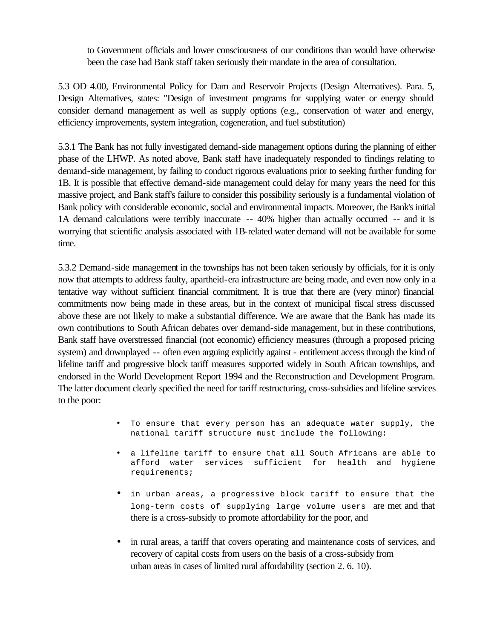to Government officials and lower consciousness of our conditions than would have otherwise been the case had Bank staff taken seriously their mandate in the area of consultation.

5.3 OD 4.00, Environmental Policy for Dam and Reservoir Projects (Design Alternatives). Para. 5, Design Alternatives, states: "Design of investment programs for supplying water or energy should consider demand management as well as supply options (e.g., conservation of water and energy, efficiency improvements, system integration, cogeneration, and fuel substitution)

5.3.1 The Bank has not fully investigated demand-side management options during the planning of either phase of the LHWP. As noted above, Bank staff have inadequately responded to findings relating to demand-side management, by failing to conduct rigorous evaluations prior to seeking further funding for 1B. It is possible that effective demand-side management could delay for many years the need for this massive project, and Bank staff's failure to consider this possibility seriously is a fundamental violation of Bank policy with considerable economic, social and environmental impacts. Moreover, the Bank's initial 1A demand calculations were terribly inaccurate -- 40% higher than actually occurred -- and it is worrying that scientific analysis associated with 1B-related water demand will not be available for some time.

5.3.2 Demand-side management in the townships has not been taken seriously by officials, for it is only now that attempts to address faulty, apartheid-era infrastructure are being made, and even now only in a tentative way without sufficient financial commitment. It is true that there are (very minor) financial commitments now being made in these areas, but in the context of municipal fiscal stress discussed above these are not likely to make a substantial difference. We are aware that the Bank has made its own contributions to South African debates over demand-side management, but in these contributions, Bank staff have overstressed financial (not economic) efficiency measures (through a proposed pricing system) and downplayed -- often even arguing explicitly against - entitlement access through the kind of lifeline tariff and progressive block tariff measures supported widely in South African townships, and endorsed in the World Development Report 1994 and the Reconstruction and Development Program. The latter document clearly specified the need for tariff restructuring, cross-subsidies and lifeline services to the poor:

- To ensure that every person has an adequate water supply, the national tariff structure must include the following:
- a lifeline tariff to ensure that all South Africans are able to afford water services sufficient for health and hygiene requirements;
- in urban areas, a progressive block tariff to ensure that the long-term costs of supplying large volume users are met and that there is a cross-subsidy to promote affordability for the poor, and
- in rural areas, a tariff that covers operating and maintenance costs of services, and recovery of capital costs from users on the basis of a cross-subsidy from urban areas in cases of limited rural affordability (section 2. 6. 10).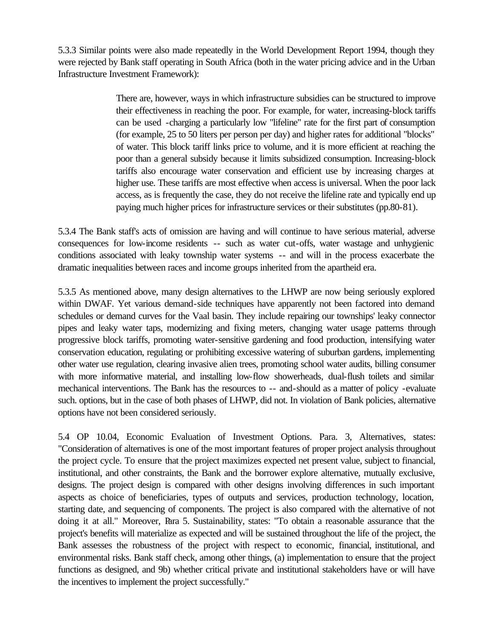5.3.3 Similar points were also made repeatedly in the World Development Report 1994, though they were rejected by Bank staff operating in South Africa (both in the water pricing advice and in the Urban Infrastructure Investment Framework):

> There are, however, ways in which infrastructure subsidies can be structured to improve their effectiveness in reaching the poor. For example, for water, increasing-block tariffs can be used -charging a particularly low "lifeline" rate for the first part of consumption (for example, 25 to 50 liters per person per day) and higher rates for additional "blocks" of water. This block tariff links price to volume, and it is more efficient at reaching the poor than a general subsidy because it limits subsidized consumption. Increasing-block tariffs also encourage water conservation and efficient use by increasing charges at higher use. These tariffs are most effective when access is universal. When the poor lack access, as is frequently the case, they do not receive the lifeline rate and typically end up paying much higher prices for infrastructure services or their substitutes (pp.80-81).

5.3.4 The Bank staff's acts of omission are having and will continue to have serious material, adverse consequences for low-income residents -- such as water cut-offs, water wastage and unhygienic conditions associated with leaky township water systems -- and will in the process exacerbate the dramatic inequalities between races and income groups inherited from the apartheid era.

5.3.5 As mentioned above, many design alternatives to the LHWP are now being seriously explored within DWAF. Yet various demand-side techniques have apparently not been factored into demand schedules or demand curves for the Vaal basin. They include repairing our townships' leaky connector pipes and leaky water taps, modernizing and fixing meters, changing water usage patterns through progressive block tariffs, promoting water-sensitive gardening and food production, intensifying water conservation education, regulating or prohibiting excessive watering of suburban gardens, implementing other water use regulation, clearing invasive alien trees, promoting school water audits, billing consumer with more informative material, and installing low-flow showerheads, dual-flush toilets and similar mechanical interventions. The Bank has the resources to -- and-should as a matter of policy -evaluate such. options, but in the case of both phases of LHWP, did not. In violation of Bank policies, alternative options have not been considered seriously.

5.4 OP 10.04, Economic Evaluation of Investment Options. Para. 3, Alternatives, states: "Consideration of alternatives is one of the most important features of proper project analysis throughout the project cycle. To ensure that the project maximizes expected net present value, subject to financial, institutional, and other constraints, the Bank and the borrower explore alternative, mutually exclusive, designs. The project design is compared with other designs involving differences in such important aspects as choice of beneficiaries, types of outputs and services, production technology, location, starting date, and sequencing of components. The project is also compared with the alternative of not doing it at all." Moreover, Para 5. Sustainability, states: "To obtain a reasonable assurance that the project's benefits will materialize as expected and will be sustained throughout the life of the project, the Bank assesses the robustness of the project with respect to economic, financial, institutional, and environmental risks. Bank staff check, among other things, (a) implementation to ensure that the project functions as designed, and 9b) whether critical private and institutional stakeholders have or will have the incentives to implement the project successfully."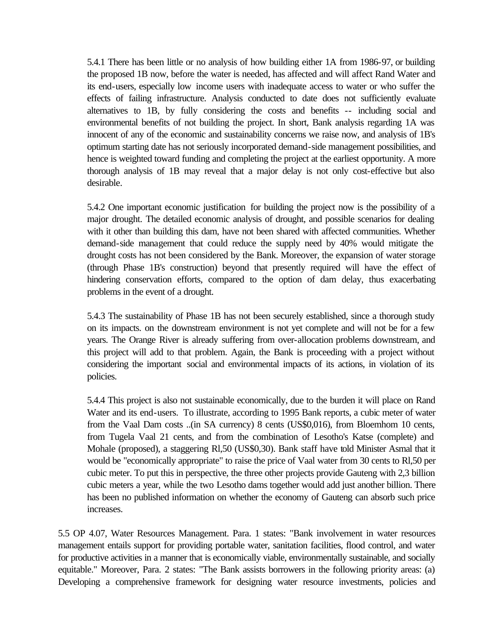5.4.1 There has been little or no analysis of how building either 1A from 1986-97, or building the proposed 1B now, before the water is needed, has affected and will affect Rand Water and its end-users, especially low income users with inadequate access to water or who suffer the effects of failing infrastructure. Analysis conducted to date does not sufficiently evaluate alternatives to 1B, by fully considering the costs and benefits -- including social and environmental benefits of not building the project. In short, Bank analysis regarding 1A was innocent of any of the economic and sustainability concerns we raise now, and analysis of 1B's optimum starting date has not seriously incorporated demand-side management possibilities, and hence is weighted toward funding and completing the project at the earliest opportunity. A more thorough analysis of 1B may reveal that a major delay is not only cost-effective but also desirable.

5.4.2 One important economic justification for building the project now is the possibility of a major drought. The detailed economic analysis of drought, and possible scenarios for dealing with it other than building this dam, have not been shared with affected communities. Whether demand-side management that could reduce the supply need by 40% would mitigate the drought costs has not been considered by the Bank. Moreover, the expansion of water storage (through Phase 1B's construction) beyond that presently required will have the effect of hindering conservation efforts, compared to the option of dam delay, thus exacerbating problems in the event of a drought.

5.4.3 The sustainability of Phase 1B has not been securely established, since a thorough study on its impacts. on the downstream environment is not yet complete and will not be for a few years. The Orange River is already suffering from over-allocation problems downstream, and this project will add to that problem. Again, the Bank is proceeding with a project without considering the important social and environmental impacts of its actions, in violation of its policies.

5.4.4 This project is also not sustainable economically, due to the burden it will place on Rand Water and its end-users. To illustrate, according to 1995 Bank reports, a cubic meter of water from the Vaal Dam costs ..(in SA currency) 8 cents (US\$0,016), from Bloemhom 10 cents, from Tugela Vaal 21 cents, and from the combination of Lesotho's Katse (complete) and Mohale (proposed), a staggering Rl,50 (US\$0,30). Bank staff have told Minister Asmal that it would be "economically appropriate" to raise the price of Vaal water from 30 cents to Rl,50 per cubic meter. To put this in perspective, the three other projects provide Gauteng with 2,3 billion cubic meters a year, while the two Lesotho dams together would add just another billion. There has been no published information on whether the economy of Gauteng can absorb such price increases.

5.5 OP 4.07, Water Resources Management. Para. 1 states: "Bank involvement in water resources management entails support for providing portable water, sanitation facilities, flood control, and water for productive activities in a manner that is economically viable, environmentally sustainable, and socially equitable." Moreover, Para. 2 states: "The Bank assists borrowers in the following priority areas: (a) Developing a comprehensive framework for designing water resource investments, policies and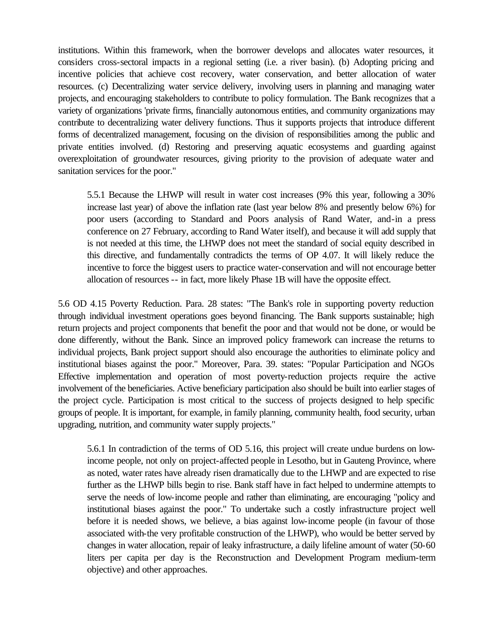institutions. Within this framework, when the borrower develops and allocates water resources, it considers cross-sectoral impacts in a regional setting (i.e. a river basin). (b) Adopting pricing and incentive policies that achieve cost recovery, water conservation, and better allocation of water resources. (c) Decentralizing water service delivery, involving users in planning and managing water projects, and encouraging stakeholders to contribute to policy formulation. The Bank recognizes that a variety of organizations 'private firms, financially autonomous entities, and community organizations may contribute to decentralizing water delivery functions. Thus it supports projects that introduce different forms of decentralized management, focusing on the division of responsibilities among the public and private entities involved. (d) Restoring and preserving aquatic ecosystems and guarding against overexploitation of groundwater resources, giving priority to the provision of adequate water and sanitation services for the poor."

5.5.1 Because the LHWP will result in water cost increases (9% this year, following a 30% increase last year) of above the inflation rate (last year below 8% and presently below 6%) for poor users (according to Standard and Poors analysis of Rand Water, and-in a press conference on 27 February, according to Rand Water itself), and because it will add supply that is not needed at this time, the LHWP does not meet the standard of social equity described in this directive, and fundamentally contradicts the terms of OP 4.07. It will likely reduce the incentive to force the biggest users to practice water-conservation and will not encourage better allocation of resources -- in fact, more likely Phase 1B will have the opposite effect.

5.6 OD 4.15 Poverty Reduction. Para. 28 states: "The Bank's role in supporting poverty reduction through individual investment operations goes beyond financing. The Bank supports sustainable; high return projects and project components that benefit the poor and that would not be done, or would be done differently, without the Bank. Since an improved policy framework can increase the returns to individual projects, Bank project support should also encourage the authorities to eliminate policy and institutional biases against the poor." Moreover, Para. 39. states: "Popular Participation and NGOs Effective implementation and operation of most poverty-reduction projects require the active involvement of the beneficiaries. Active beneficiary participation also should be built into earlier stages of the project cycle. Participation is most critical to the success of projects designed to help specific groups of people. It is important, for example, in family planning, community health, food security, urban upgrading, nutrition, and community water supply projects."

5.6.1 In contradiction of the terms of OD 5.16, this project will create undue burdens on lowincome people, not only on project-affected people in Lesotho, but in Gauteng Province, where as noted, water rates have already risen dramatically due to the LHWP and are expected to rise further as the LHWP bills begin to rise. Bank staff have in fact helped to undermine attempts to serve the needs of low-income people and rather than eliminating, are encouraging "policy and institutional biases against the poor." To undertake such a costly infrastructure project well before it is needed shows, we believe, a bias against low-income people (in favour of those associated with-the very profitable construction of the LHWP), who would be better served by changes in water allocation, repair of leaky infrastructure, a daily lifeline amount of water (50-60 liters per capita per day is the Reconstruction and Development Program medium-term objective) and other approaches.